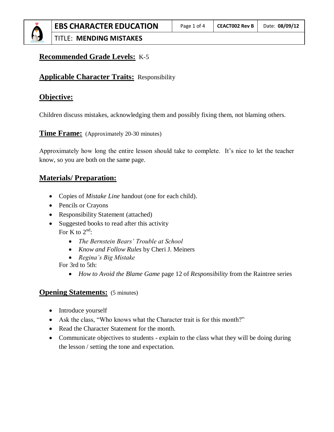# **Recommended Grade Levels:** K-5

# **Applicable Character Traits:** Responsibility

# **Objective:**

Children discuss mistakes, acknowledging them and possibly fixing them, not blaming others.

**Time Frame:** (Approximately 20-30 minutes)

Approximately how long the entire lesson should take to complete. It's nice to let the teacher know, so you are both on the same page.

# **Materials/ Preparation:**

- Copies of *Mistake Line* handout (one for each child).
- Pencils or Crayons
- Responsibility Statement (attached)
- Suggested books to read after this activity For K to  $2^{\text{nd}}$ :
	- *The Bernstein Bears' Trouble at School*
	- *Know and Follow Rules* by Cheri J. Meiners
	- *Regina's Big Mistake*

For 3rd to 5th:

*How to Avoid the Blame Game* page 12 of *Responsibility* from the Raintree series

#### **Opening Statements:** (5 minutes)

- Introduce yourself
- Ask the class, "Who knows what the Character trait is for this month?"
- Read the Character Statement for the month.
- Communicate objectives to students explain to the class what they will be doing during the lesson / setting the tone and expectation.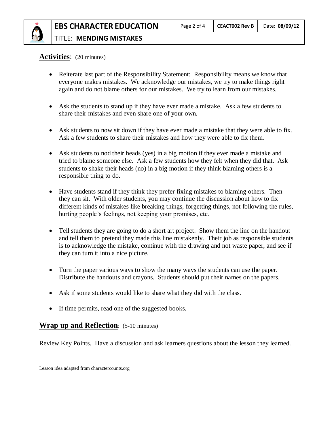# **Activities**: (20 minutes)

- Reiterate last part of the Responsibility Statement: Responsibility means we know that everyone makes mistakes. We acknowledge our mistakes, we try to make things right again and do not blame others for our mistakes. We try to learn from our mistakes.
- Ask the students to stand up if they have ever made a mistake. Ask a few students to share their mistakes and even share one of your own.
- Ask students to now sit down if they have ever made a mistake that they were able to fix. Ask a few students to share their mistakes and how they were able to fix them.
- Ask students to nod their heads (yes) in a big motion if they ever made a mistake and tried to blame someone else. Ask a few students how they felt when they did that. Ask students to shake their heads (no) in a big motion if they think blaming others is a responsible thing to do.
- Have students stand if they think they prefer fixing mistakes to blaming others. Then they can sit. With older students, you may continue the discussion about how to fix different kinds of mistakes like breaking things, forgetting things, not following the rules, hurting people's feelings, not keeping your promises, etc.
- Tell students they are going to do a short art project. Show them the line on the handout and tell them to pretend they made this line mistakenly. Their job as responsible students is to acknowledge the mistake, continue with the drawing and not waste paper, and see if they can turn it into a nice picture.
- Turn the paper various ways to show the many ways the students can use the paper. Distribute the handouts and crayons. Students should put their names on the papers.
- Ask if some students would like to share what they did with the class.
- If time permits, read one of the suggested books.

### **Wrap up and Reflection**: (5-10 minutes)

Review Key Points. Have a discussion and ask learners questions about the lesson they learned.

Lesson idea adapted from charactercounts.org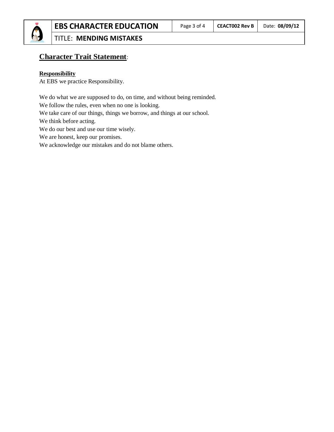

# **Character Trait Statement**:

#### **Responsibility**

At EBS we practice Responsibility.

We do what we are supposed to do, on time, and without being reminded. We follow the rules, even when no one is looking. We take care of our things, things we borrow, and things at our school. We think before acting. We do our best and use our time wisely. We are honest, keep our promises. We acknowledge our mistakes and do not blame others.